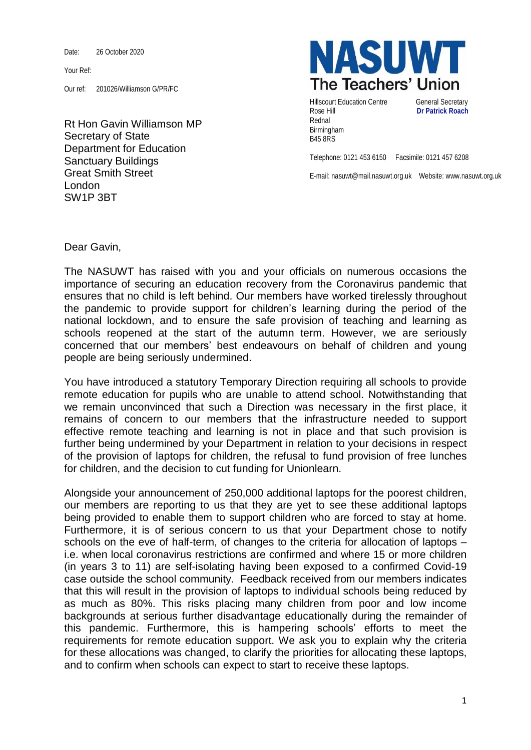Date: 26 October 2020

Your Ref:

Our ref: 201026/Williamson G/PR/FC

Rt Hon Gavin Williamson MP Secretary of State Department for Education Sanctuary Buildings Great Smith Street London SW1P 3BT



Hillscourt Education Centre **General Secretary** Rose Hill **Dr Patrick Roach** Rednal Birmingham B45 8RS

Telephone: 0121 453 6150 Facsimile: 0121 457 6208

E-mail: nasuwt@mail.nasuwt.org.uk Website: www.nasuwt.org.uk

Dear Gavin,

The NASUWT has raised with you and your officials on numerous occasions the importance of securing an education recovery from the Coronavirus pandemic that ensures that no child is left behind. Our members have worked tirelessly throughout the pandemic to provide support for children's learning during the period of the national lockdown, and to ensure the safe provision of teaching and learning as schools reopened at the start of the autumn term. However, we are seriously concerned that our members' best endeavours on behalf of children and young people are being seriously undermined.

You have introduced a statutory Temporary Direction requiring all schools to provide remote education for pupils who are unable to attend school. Notwithstanding that we remain unconvinced that such a Direction was necessary in the first place, it remains of concern to our members that the infrastructure needed to support effective remote teaching and learning is not in place and that such provision is further being undermined by your Department in relation to your decisions in respect of the provision of laptops for children, the refusal to fund provision of free lunches for children, and the decision to cut funding for Unionlearn.

Alongside your announcement of 250,000 additional laptops for the poorest children, our members are reporting to us that they are yet to see these additional laptops being provided to enable them to support children who are forced to stay at home. Furthermore, it is of serious concern to us that your Department chose to notify schools on the eve of half-term, of changes to the criteria for allocation of laptops – i.e. when local coronavirus restrictions are confirmed and where 15 or more children (in years 3 to 11) are self-isolating having been exposed to a confirmed Covid-19 case outside the school community. Feedback received from our members indicates that this will result in the provision of laptops to individual schools being reduced by as much as 80%. This risks placing many children from poor and low income backgrounds at serious further disadvantage educationally during the remainder of this pandemic. Furthermore, this is hampering schools' efforts to meet the requirements for remote education support. We ask you to explain why the criteria for these allocations was changed, to clarify the priorities for allocating these laptops, and to confirm when schools can expect to start to receive these laptops.